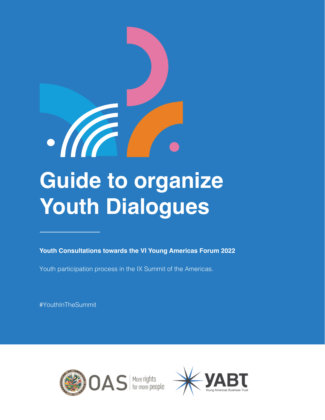# $\cdot$ lle **Guide to organize Youth Dialogues**

**Youth Consultations towards the VI Young Americas Forum 2022**

Youth participation process in the IX Summit of the Americas.

#YouthInTheSummit



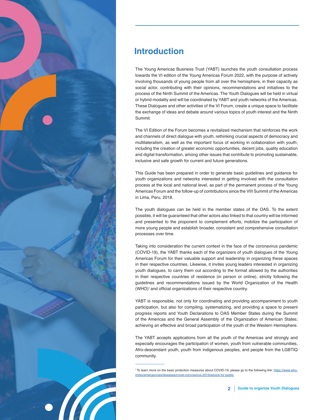

# **Introduction**

The Young Americas Business Trust (YABT) launches the youth consultation process towards the VI edition of the Young Americas Forum 2022, with the purpose of actively involving thousands of young people from all over the hemisphere, in their capacity as social actor, contributing with their opinions, recommendations and initiatives to the process of the Ninth Summit of the Americas. The Youth Dialogues will be held in virtual or hybrid modality and will be coordinated by YABT and youth networks of the Americas. These Dialogues and other activities of the VI Forum, create a unique space to facilitate the exchange of ideas and debate around various topics of youth interest and the Ninth Summit.

The VI Edition of the Forum becomes a revitalized mechanism that reinforces the work and channels of direct dialogue with youth, rethinking crucial aspects of democracy and multilateralism, as well as the important focus of working in collaboration with youth; including the creation of greater economic opportunities, decent jobs, quality education and digital transformation, among other issues that contribute to promoting sustainable, inclusive and safe growth for current and future generations.

This Guide has been prepared in order to generate basic guidelines and guidance for youth organizations and networks interested in getting involved with the consultation process at the local and national level, as part of the permanent process of the Young Americas Forum and the follow-up of contributions since the VIII Summit of the Americas in Lima, Peru, 2018.

The youth dialogues can be held in the member states of the OAS. To the extent possible, it will be guaranteed that other actors also linked to that country will be informed and presented to the proponent to complement efforts, mobilize the participation of more young people and establish broader, consistent and comprehensive consultation processes over time.

Taking into consideration the current context in the face of the coronavirus pandemic (COVID-19), the YABT thanks each of the organizers of youth dialogues of the Young Americas Forum for their valuable support and leadership in organizing these spaces in their respective countries. Likewise, it invites young leaders interested in organizing youth dialogues, to carry them out according to the format allowed by the authorities in their respective countries of residence (in person or online), strictly following the guidelines and recommendations issued by the World Organization of the Health (WHO)<sup>1</sup> and official organizations of their respective country.

YABT is responsible, not only for coordinating and providing accompaniment to youth participation, but also for compiling, systematizing, and providing a space to present progress reports and Youth Declarations to OAS Member States during the Summit of the Americas and the General Assembly of the Organization of American States; achieving an effective and broad participation of the youth of the Western Hemisphere.

The YABT accepts applications from all the youth of the Americas and strongly and especially encourages the participation of women, youth from vulnerable communities, Afro-descendant youth, youth from indigenous peoples, and people from the LGBTIQ community.

<sup>&</sup>lt;sup>1</sup> To learn more on the basic protection measures about COVID-19, please go to the following link: [https://www.who.](https://www.who.int/es/emergencies/diseases/novel-coronavirus-2019/advice-for-public) es/novel-coronavirus-2019/advice-for-public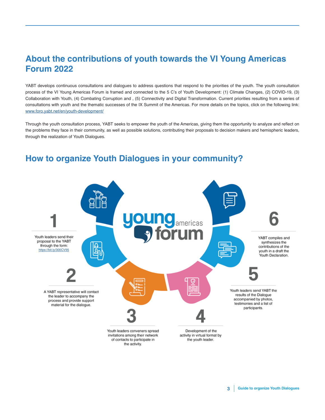# **About the contributions of youth towards the VI Young Americas Forum 2022**

YABT develops continuous consultations and dialogues to address questions that respond to the priorities of the youth. The youth consultation process of the VI Young Americas Forum is framed and connected to the 5 C's of Youth Development: (1) Climate Changes, (2) COVID-19, (3) Collaboration with Youth, (4) Combating Corruption and , (5) Connectivity and Digital Transformation. Current priorities resulting from a series of consultations with youth and the thematic successes of the IX Summit of the Americas. For more details on the topics, click on the following link: [www.foro.yabt.net/en/youth-development/](http://www.foro.yabt.net/en/youth-development/)

Through the youth consultation process, YABT seeks to empower the youth of the Americas, giving them the opportunity to analyze and reflect on the problems they face in their community, as well as possible solutions, contributing their proposals to decision makers and hemispheric leaders, through the realization of Youth Dialogues.



# **How to organize Youth Dialogues in your community?**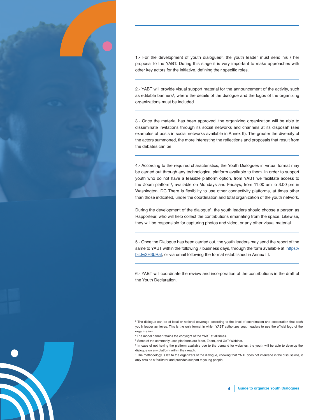

1.- For the development of youth dialogues<sup>2</sup>, the youth leader must send his / her proposal to the YABT. During this stage it is very important to make approaches with other key actors for the initiative, defining their specific roles.

2.- YABT will provide visual support material for the announcement of the activity, such as editable banners<sup>3</sup>, where the details of the dialogue and the logos of the organizing organizations must be included.

3.- Once the material has been approved, the organizing organization will be able to disseminate invitations through its social networks and channels at its disposal<sup>4</sup> (see examples of posts in social networks available in Annex II). The greater the diversity of the actors summoned, the more interesting the reflections and proposals that result from the debates can be.

4.- According to the required characteristics, the Youth Dialogues in virtual format may be carried out through any technological platform available to them. In order to support youth who do not have a feasible platform option, from YABT we facilitate access to the Zoom platform5 , available on Mondays and Fridays, from 11:00 am to 3:00 pm in Washington, DC There is flexibility to use other connectivity platforms, at times other than those indicated, under the coordination and total organization of the youth network.

During the development of the dialogue<sup>6</sup>, the youth leaders should choose a person as Rapporteur, who will help collect the contributions emanating from the space. Likewise, they will be responsible for capturing photos and video, or any other visual material.

5.- Once the Dialogue has been carried out, the youth leaders may send the report of the same to YABT within the following 7 business days, through the form available at: [https://](https://bit.ly/3H3bRaf) [bit.ly/3H3bRaf](https://bit.ly/3H3bRaf), or via email following the format established in Annex III.

6.- YABT will coordinate the review and incorporation of the contributions in the draft of the Youth Declaration.

<sup>3</sup> The dialogue can be of local or national coverage according to the level of coordination and cooperation that each youth leader achieves. This is the only format in which YABT authorizes youth leaders to use the official logo of the organization.

<sup>4</sup> The model banner retains the copyright of the YABT at all times.

<sup>5</sup> Some of the commonly used platforms are Meet, Zoom, and GoToWebinar.

<sup>6</sup> In case of not having the platform available due to the demand for websites, the youth will be able to develop the dialogue on any platform within their reach.

 $^7$  The methodology is left to the organizers of the dialogue, knowing that YABT does not intervene in the discussions, it only acts as a facilitator and provides support to young people.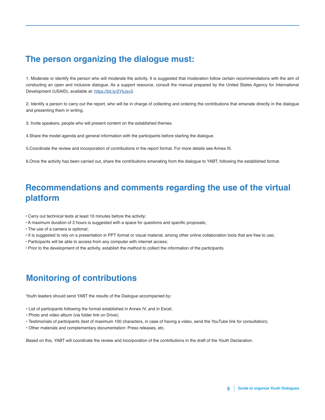## **The person organizing the dialogue must:**

1. Moderate or identify the person who will moderate the activity. It is suggested that moderation follow certain recommendations with the aim of conducting an open and inclusive dialogue. As a support resource, consult the manual prepared by the United States Agency for International Development (USAID), available at: <https://bit.ly/2YkJsv3>.

2. Identify a person to carry out the report, who will be in charge of collecting and ordering the contributions that emanate directly in the dialogue and presenting them in writing.

3. Invite speakers, people who will present content on the established themes.

4.Share the model agenda and general information with the participants before starting the dialogue.

5.Coordinate the review and incorporation of contributions in the report format. For more details see Annex III.

6.Once the activity has been carried out, share the contributions emanating from the dialogue to YABT, following the established format.

# **Recommendations and comments regarding the use of the virtual platform**

- Carry out technical tests at least 10 minutes before the activity;
- A maximum duration of 2 hours is suggested with a space for questions and specific proposals;
- The use of a camera is optional;
- It is suggested to rely on a presentation in PPT format or visual material, among other online collaboration tools that are free to use;
- Participants will be able to access from any computer with internet access;
- Prior to the development of the activity, establish the method to collect the information of the participants.

# **Monitoring of contributions**

Youth leaders should send YABT the results of the Dialogue accompanied by:

- List of participants following the format established in Annex IV, and in Excel;
- Photo and video album (via folder link on Drive);
- Testimonials of participants (text of maximum 100 characters, in case of having a video, send the YouTube link for consultation);
- Other materials and complementary documentation: Press releases, etc.

Based on this, YABT will coordinate the review and incorporation of the contributions in the draft of the Youth Declaration.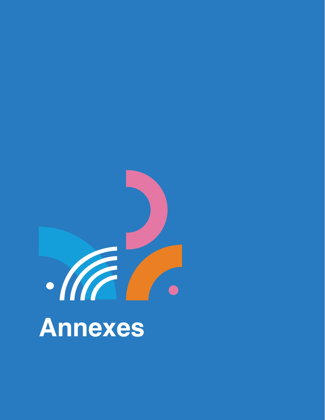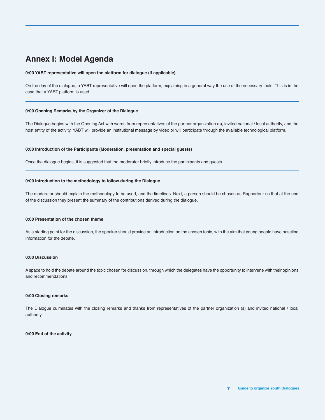## **Annex I: Model Agenda**

#### **0:00 YABT representative will open the platform for dialogue (If applicable)**

On the day of the dialogue, a YABT representative will open the platform, explaining in a general way the use of the necessary tools. This is in the case that a YABT platform is used.

## **0:00 Opening Remarks by the Organizer of the Dialogue**

The Dialogue begins with the Opening Act with words from representatives of the partner organization (s), invited national / local authority, and the host entity of the activity. YABT will provide an institutional message by video or will participate through the available technological platform.

#### **0:00 Introduction of the Participants (Moderation, presentation and special guests)**

Once the dialogue begins, it is suggested that the moderator briefly introduce the participants and guests.

## **0:00 Introduction to the methodology to follow during the Dialogue**

The moderator should explain the methodology to be used, and the timelines. Next, a person should be chosen as Rapporteur so that at the end of the discussion they present the summary of the contributions derived during the dialogue.

#### **0:00 Presentation of the chosen theme**

As a starting point for the discussion, the speaker should provide an introduction on the chosen topic, with the aim that young people have baseline information for the debate.

## **0:00 Discussion**

A space to hold the debate around the topic chosen for discussion, through which the delegates have the opportunity to intervene with their opinions and recommendations.

#### **0:00 Closing remarks**

The Dialogue culminates with the closing remarks and thanks from representatives of the partner organization (s) and invited national / local authority.

**0:00 End of the activity.**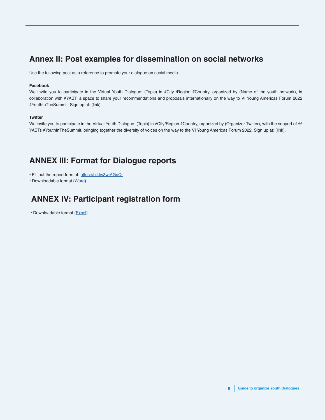## **Annex II: Post examples for dissemination on social networks**

Use the following post as a reference to promote your dialogue on social media.

### **Facebook**

We invite you to participate in the Virtual Youth Dialogue: (Topic) in #City /Region #Country, organized by (Name of the youth network), in collaboration with #YABT, a space to share your recommendations and proposals internationally on the way to VI Young Americas Forum 2022 #YouthInTheSummit. Sign up at: (link).

## **Twitter**

We invite you to participate in the Virtual Youth Dialogue: (Topic) in #City/Region #Country, organized by (Organizer Twitter), with the support of @ YABTs #YouthInTheSummit, bringing together the diversity of voices on the way to the VI Young Americas Forum 2022. Sign up at: (link).

## **ANNEX III: Format for Dialogue reports**

- Fill out the report form at: https://bit.ly/3wtAGqQ
- Downloadable format ([Word\)](http://www.yabt.net/foro/download/annex_III_format_for_sending_youth_dialogue_reports_eng.docx)

## **ANNEX IV: Participant registration form**

• Downloadable format ([Excel](http://www.yabt.net/foro/download/annex_IV_participant_registration_form_eng.xlsx))